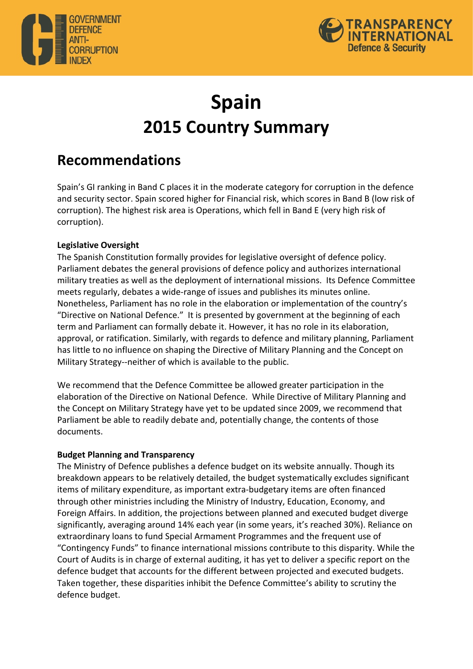



# **Spain 2015 Country Summary**

## **Recommendations**

Spain's GI ranking in Band C places it in the moderate category for corruption in the defence and security sector. Spain scored higher for Financial risk, which scores in Band B (low risk of corruption). The highest risk area is Operations, which fell in Band E (very high risk of corruption).

### **Legislative Oversight**

The Spanish Constitution formally provides for legislative oversight of defence policy. Parliament debates the general provisions of defence policy and authorizes international military treaties as well as the deployment of international missions. Its Defence Committee meets regularly, debates a wide-range of issues and publishes its minutes online. Nonetheless, Parliament has no role in the elaboration or implementation of the country's "Directive on National Defence." It is presented by government at the beginning of each term and Parliament can formally debate it. However, it has no role in its elaboration, approval, or ratification. Similarly, with regards to defence and military planning, Parliament has little to no influence on shaping the Directive of Military Planning and the Concept on Military Strategy--neither of which is available to the public.

We recommend that the Defence Committee be allowed greater participation in the elaboration of the Directive on National Defence. While Directive of Military Planning and the Concept on Military Strategy have yet to be updated since 2009, we recommend that Parliament be able to readily debate and, potentially change, the contents of those documents. 

#### **Budget Planning and Transparency**

The Ministry of Defence publishes a defence budget on its website annually. Though its breakdown appears to be relatively detailed, the budget systematically excludes significant items of military expenditure, as important extra-budgetary items are often financed through other ministries including the Ministry of Industry, Education, Economy, and Foreign Affairs. In addition, the projections between planned and executed budget diverge significantly, averaging around 14% each year (in some years, it's reached 30%). Reliance on extraordinary loans to fund Special Armament Programmes and the frequent use of "Contingency Funds" to finance international missions contribute to this disparity. While the Court of Audits is in charge of external auditing, it has yet to deliver a specific report on the defence budget that accounts for the different between projected and executed budgets. Taken together, these disparities inhibit the Defence Committee's ability to scrutiny the defence budget.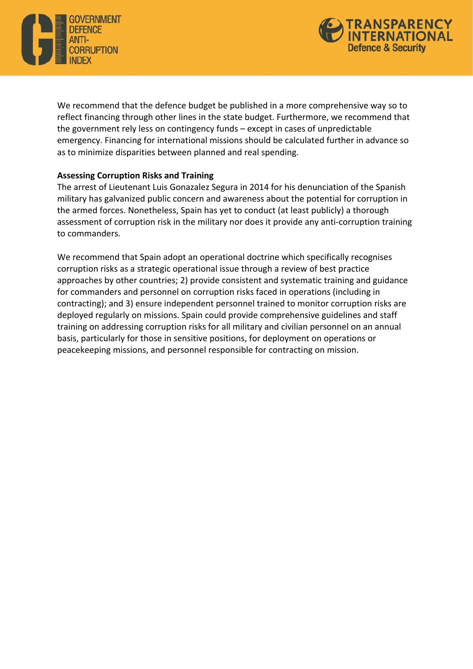



We recommend that the defence budget be published in a more comprehensive way so to reflect financing through other lines in the state budget. Furthermore, we recommend that the government rely less on contingency funds  $-$  except in cases of unpredictable emergency. Financing for international missions should be calculated further in advance so as to minimize disparities between planned and real spending.

#### **Assessing Corruption Risks and Training**

The arrest of Lieutenant Luis Gonazalez Segura in 2014 for his denunciation of the Spanish military has galvanized public concern and awareness about the potential for corruption in the armed forces. Nonetheless, Spain has yet to conduct (at least publicly) a thorough assessment of corruption risk in the military nor does it provide any anti-corruption training to commanders.

We recommend that Spain adopt an operational doctrine which specifically recognises corruption risks as a strategic operational issue through a review of best practice approaches by other countries; 2) provide consistent and systematic training and guidance for commanders and personnel on corruption risks faced in operations (including in contracting); and 3) ensure independent personnel trained to monitor corruption risks are deployed regularly on missions. Spain could provide comprehensive guidelines and staff training on addressing corruption risks for all military and civilian personnel on an annual basis, particularly for those in sensitive positions, for deployment on operations or peacekeeping missions, and personnel responsible for contracting on mission.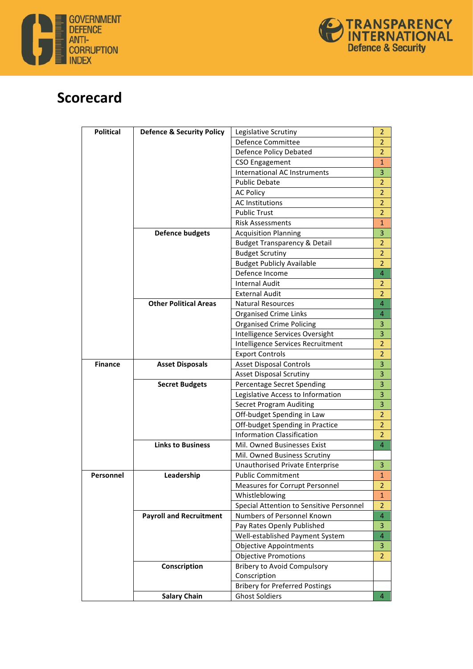



## **Scorecard**

| <b>Political</b> | <b>Defence &amp; Security Policy</b> | Legislative Scrutiny                     | $\overline{2}$ |
|------------------|--------------------------------------|------------------------------------------|----------------|
|                  |                                      | Defence Committee                        | 2              |
|                  |                                      | Defence Policy Debated                   | $\overline{2}$ |
|                  |                                      | CSO Engagement                           | 1              |
|                  |                                      | <b>International AC Instruments</b>      | 3              |
|                  |                                      | <b>Public Debate</b>                     | $\overline{2}$ |
|                  |                                      | <b>AC Policy</b>                         | $\overline{2}$ |
|                  |                                      | <b>AC Institutions</b>                   | $\overline{2}$ |
|                  |                                      | <b>Public Trust</b>                      | $\overline{2}$ |
|                  |                                      | <b>Risk Assessments</b>                  | 1              |
|                  | <b>Defence budgets</b>               | <b>Acquisition Planning</b>              | 3              |
|                  |                                      | <b>Budget Transparency &amp; Detail</b>  | $\overline{2}$ |
|                  |                                      | <b>Budget Scrutiny</b>                   | $\overline{2}$ |
|                  |                                      | <b>Budget Publicly Available</b>         | $\overline{2}$ |
|                  |                                      | Defence Income                           | $\overline{4}$ |
|                  |                                      | <b>Internal Audit</b>                    | $\overline{2}$ |
|                  |                                      | <b>External Audit</b>                    | $\overline{2}$ |
|                  | <b>Other Political Areas</b>         | <b>Natural Resources</b>                 | $\overline{4}$ |
|                  |                                      | <b>Organised Crime Links</b>             | 4              |
|                  |                                      | <b>Organised Crime Policing</b>          | 3              |
|                  |                                      | Intelligence Services Oversight          | 3              |
|                  |                                      | Intelligence Services Recruitment        | $\overline{2}$ |
|                  |                                      | <b>Export Controls</b>                   | $\overline{2}$ |
| <b>Finance</b>   | <b>Asset Disposals</b>               | <b>Asset Disposal Controls</b>           | 3              |
|                  |                                      | <b>Asset Disposal Scrutiny</b>           | 3              |
|                  | <b>Secret Budgets</b>                | Percentage Secret Spending               | 3              |
|                  |                                      | Legislative Access to Information        | 3              |
|                  |                                      | <b>Secret Program Auditing</b>           | 3              |
|                  |                                      | Off-budget Spending in Law               | $\overline{2}$ |
|                  |                                      | Off-budget Spending in Practice          | $\overline{2}$ |
|                  |                                      | <b>Information Classification</b>        | $\overline{2}$ |
|                  | <b>Links to Business</b>             | Mil. Owned Businesses Exist              | $\overline{4}$ |
|                  |                                      | Mil. Owned Business Scrutiny             |                |
|                  |                                      | Unauthorised Private Enterprise          | 3              |
| Personnel        | Leadership                           | <b>Public Commitment</b>                 | 1              |
|                  |                                      | Measures for Corrupt Personnel           | 2              |
|                  |                                      | Whistleblowing                           | 1              |
|                  |                                      | Special Attention to Sensitive Personnel | 2              |
|                  | <b>Payroll and Recruitment</b>       | Numbers of Personnel Known               | $\overline{4}$ |
|                  |                                      | Pay Rates Openly Published               | 3              |
|                  |                                      | Well-established Payment System          | $\overline{4}$ |
|                  |                                      | <b>Objective Appointments</b>            | 3              |
|                  |                                      | <b>Objective Promotions</b>              | $\overline{2}$ |
|                  | Conscription                         | <b>Bribery to Avoid Compulsory</b>       |                |
|                  |                                      | Conscription                             |                |
|                  |                                      | <b>Bribery for Preferred Postings</b>    |                |
|                  | <b>Salary Chain</b>                  | <b>Ghost Soldiers</b>                    | 4              |